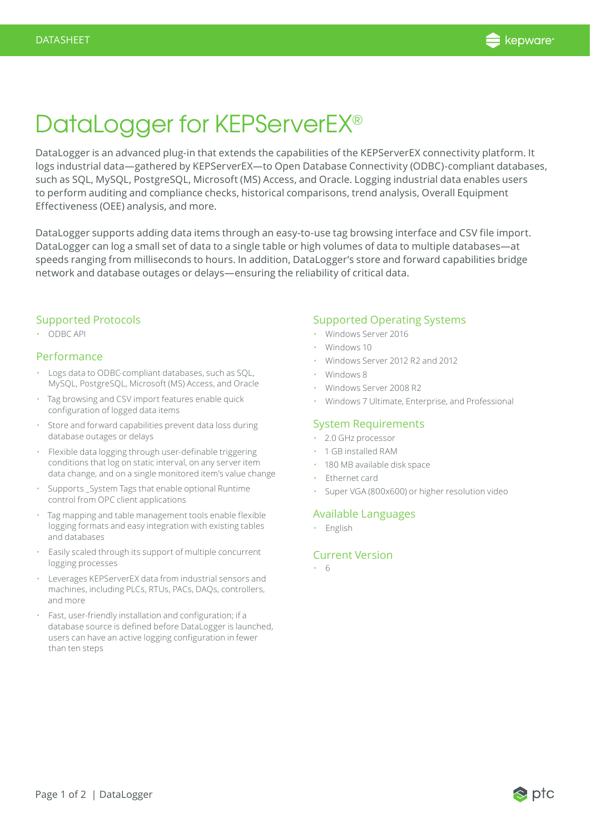

# DataLogger for KEPServerEX®

DataLogger is an advanced plug-in that extends the capabilities of the KEPServerEX connectivity platform. It logs industrial data—gathered by KEPServerEX—to Open Database Connectivity (ODBC)-compliant databases, such as SQL, MySQL, PostgreSQL, Microsoft (MS) Access, and Oracle. Logging industrial data enables users to perform auditing and compliance checks, historical comparisons, trend analysis, Overall Equipment Effectiveness (OEE) analysis, and more.

DataLogger supports adding data items through an easy-to-use tag browsing interface and CSV file import. DataLogger can log a small set of data to a single table or high volumes of data to multiple databases—at speeds ranging from milliseconds to hours. In addition, DataLogger's store and forward capabilities bridge network and database outages or delays—ensuring the reliability of critical data.

#### Supported Protocols

• ODBC API

#### Performance

- Logs data to ODBC-compliant databases, such as SQL, MySQL, PostgreSQL, Microsoft (MS) Access, and Oracle
- Tag browsing and CSV import features enable quick configuration of logged data items
- Store and forward capabilities prevent data loss during database outages or delays
- Flexible data logging through user-definable triggering conditions that log on static interval, on any server item data change, and on a single monitored item's value change
- Supports System Tags that enable optional Runtime control from OPC client applications
- Tag mapping and table management tools enable flexible logging formats and easy integration with existing tables and databases
- Easily scaled through its support of multiple concurrent logging processes
- Leverages KEPServerEX data from industrial sensors and machines, including PLCs, RTUs, PACs, DAQs, controllers, and more
- Fast, user-friendly installation and configuration; if a database source is defined before DataLogger is launched, users can have an active logging configuration in fewer than ten steps

### Supported Operating Systems

- Windows Server 2016
- Windows 10
- Windows Server 2012 R2 and 2012
- Windows 8
- Windows Server 2008 R2
- Windows 7 Ultimate, Enterprise, and Professional

### System Requirements

- 2.0 GHz processor
- 1 GB installed RAM
- 180 MB available disk space
- Ethernet card
- Super VGA (800x600) or higher resolution video

### Available Languages

• English

#### Current Version

• 6